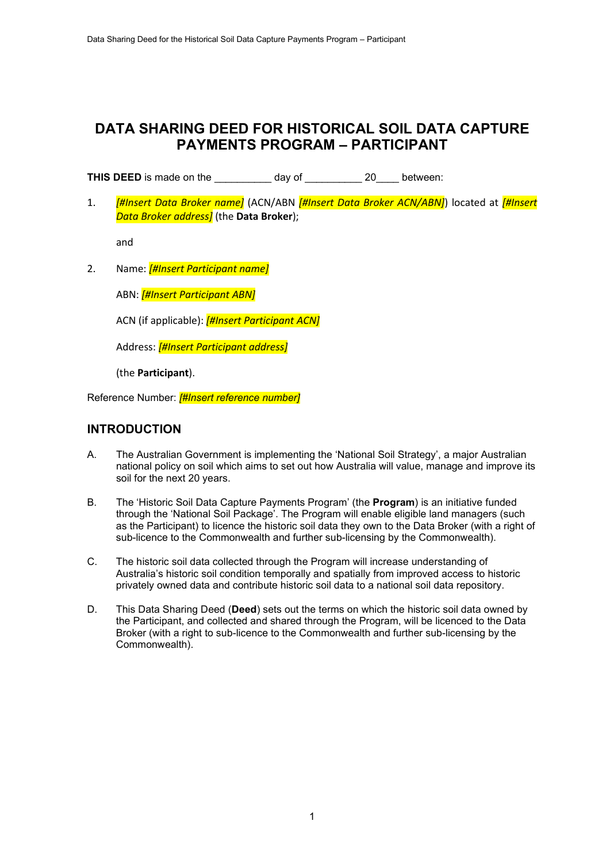# **DATA SHARING DEED FOR HISTORICAL SOIL DATA CAPTURE PAYMENTS PROGRAM – PARTICIPANT**

**THIS DEED** is made on the \_\_\_\_\_\_\_\_\_\_ day of \_\_\_\_\_\_\_\_\_\_ 20\_\_\_\_ between:

1. *[#Insert Data Broker name]* (ACN/ABN *[#Insert Data Broker ACN/ABN]*) located at *[#Insert Data Broker address]* (the **Data Broker**);

and

2. Name: *[#Insert Participant name]*

ABN: *[#Insert Participant ABN]*

ACN (if applicable): *[#Insert Participant ACN]*

Address: *[#Insert Participant address]*

(the **Participant**).

Reference Number: *[#Insert reference number]*

# **INTRODUCTION**

- A. The Australian Government is implementing the 'National Soil Strategy', a major Australian national policy on soil which aims to set out how Australia will value, manage and improve its soil for the next 20 years.
- B. The 'Historic Soil Data Capture Payments Program' (the **Program**) is an initiative funded through the 'National Soil Package'. The Program will enable eligible land managers (such as the Participant) to licence the historic soil data they own to the Data Broker (with a right of sub-licence to the Commonwealth and further sub-licensing by the Commonwealth).
- C. The historic soil data collected through the Program will increase understanding of Australia's historic soil condition temporally and spatially from improved access to historic privately owned data and contribute historic soil data to a national soil data repository.
- D. This Data Sharing Deed (**Deed**) sets out the terms on which the historic soil data owned by the Participant, and collected and shared through the Program, will be licenced to the Data Broker (with a right to sub-licence to the Commonwealth and further sub-licensing by the Commonwealth).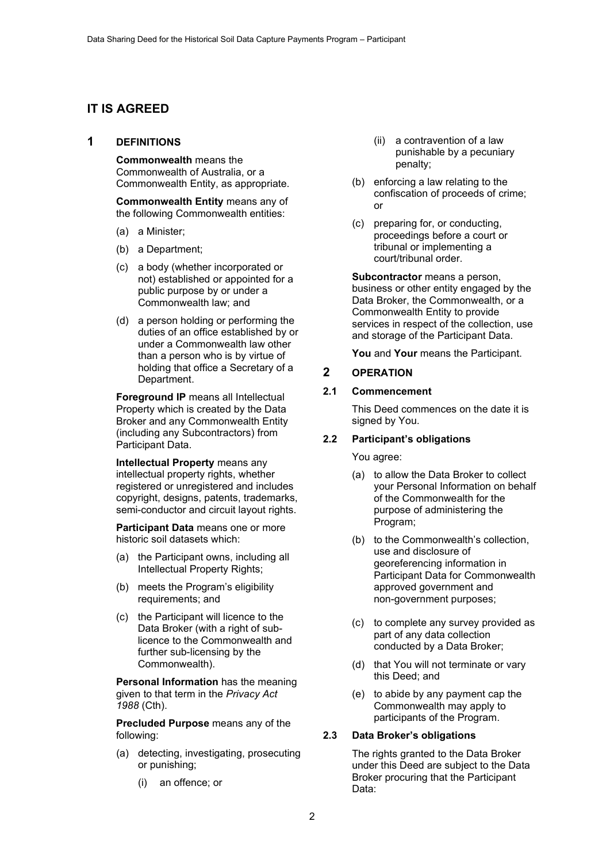# **IT IS AGREED**

#### **1 DEFINITIONS**

**Commonwealth** means the Commonwealth of Australia, or a Commonwealth Entity, as appropriate.

**Commonwealth Entity** means any of the following Commonwealth entities:

- (a) a Minister;
- (b) a Department;
- (c) a body (whether incorporated or not) established or appointed for a public purpose by or under a Commonwealth law; and
- (d) a person holding or performing the duties of an office established by or under a Commonwealth law other than a person who is by virtue of holding that office a Secretary of a Department.

**Foreground IP** means all Intellectual Property which is created by the Data Broker and any Commonwealth Entity (including any Subcontractors) from Participant Data.

**Intellectual Property** means any intellectual property rights, whether registered or unregistered and includes copyright, designs, patents, trademarks, semi-conductor and circuit layout rights.

**Participant Data** means one or more historic soil datasets which:

- (a) the Participant owns, including all Intellectual Property Rights;
- (b) meets the Program's eligibility requirements; and
- (c) the Participant will licence to the Data Broker (with a right of sublicence to the Commonwealth and further sub-licensing by the Commonwealth).

**Personal Information** has the meaning given to that term in the *Privacy Act 1988* (Cth).

**Precluded Purpose** means any of the following:

- (a) detecting, investigating, prosecuting or punishing;
	- (i) an offence; or
- (ii) a contravention of a law punishable by a pecuniary penalty;
- (b) enforcing a law relating to the confiscation of proceeds of crime; or
- (c) preparing for, or conducting, proceedings before a court or tribunal or implementing a court/tribunal order.

**Subcontractor** means a person, business or other entity engaged by the Data Broker, the Commonwealth, or a Commonwealth Entity to provide services in respect of the collection, use and storage of the Participant Data.

**You** and **Your** means the Participant.

## **2 OPERATION**

## **2.1 Commencement**

This Deed commences on the date it is signed by You.

## **2.2 Participant's obligations**

You agree:

- (a) to allow the Data Broker to collect your Personal Information on behalf of the Commonwealth for the purpose of administering the Program;
- (b) to the Commonwealth's collection, use and disclosure of georeferencing information in Participant Data for Commonwealth approved government and non-government purposes;
- (c) to complete any survey provided as part of any data collection conducted by a Data Broker;
- (d) that You will not terminate or vary this Deed; and
- (e) to abide by any payment cap the Commonwealth may apply to participants of the Program.

## **2.3 Data Broker's obligations**

The rights granted to the Data Broker under this Deed are subject to the Data Broker procuring that the Participant Data: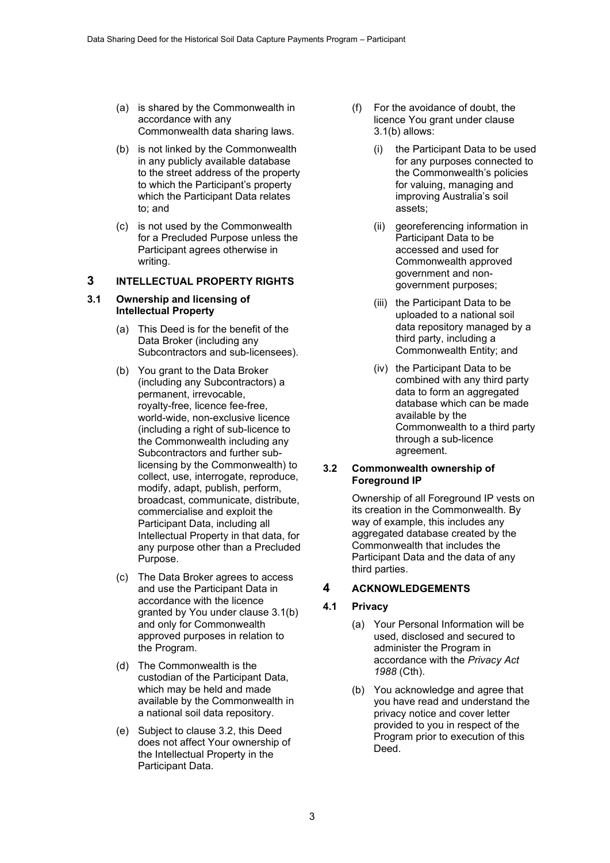- (a) is shared by the Commonwealth in accordance with any Commonwealth data sharing laws.
- (b) is not linked by the Commonwealth in any publicly available database to the street address of the property to which the Participant's property which the Participant Data relates to; and
- (c) is not used by the Commonwealth for a Precluded Purpose unless the Participant agrees otherwise in writing.

# **3 INTELLECTUAL PROPERTY RIGHTS**

#### **3.1 Ownership and licensing of Intellectual Property**

- (a) This Deed is for the benefit of the Data Broker (including any Subcontractors and sub-licensees).
- (b) You grant to the Data Broker (including any Subcontractors) a permanent, irrevocable, royalty-free, licence fee-free, world-wide, non-exclusive licence (including a right of sub-licence to the Commonwealth including any Subcontractors and further sublicensing by the Commonwealth) to collect, use, interrogate, reproduce, modify, adapt, publish, perform, broadcast, communicate, distribute, commercialise and exploit the Participant Data, including all Intellectual Property in that data, for any purpose other than a Precluded Purpose.
- (c) The Data Broker agrees to access and use the Participant Data in accordance with the licence granted by You under clause 3.1(b) and only for Commonwealth approved purposes in relation to the Program.
- (d) The Commonwealth is the custodian of the Participant Data, which may be held and made available by the Commonwealth in a national soil data repository.
- (e) Subject to clause 3.2, this Deed does not affect Your ownership of the Intellectual Property in the Participant Data.
- (f) For the avoidance of doubt, the licence You grant under clause 3.1(b) allows:
	- (i) the Participant Data to be used for any purposes connected to the Commonwealth's policies for valuing, managing and improving Australia's soil assets;
	- (ii) georeferencing information in Participant Data to be accessed and used for Commonwealth approved government and nongovernment purposes;
	- (iii) the Participant Data to be uploaded to a national soil data repository managed by a third party, including a Commonwealth Entity; and
	- (iv) the Participant Data to be combined with any third party data to form an aggregated database which can be made available by the Commonwealth to a third party through a sub-licence agreement.

#### **3.2 Commonwealth ownership of Foreground IP**

Ownership of all Foreground IP vests on its creation in the Commonwealth. By way of example, this includes any aggregated database created by the Commonwealth that includes the Participant Data and the data of any third parties.

# **4 ACKNOWLEDGEMENTS**

## **4.1 Privacy**

- (a) Your Personal Information will be used, disclosed and secured to administer the Program in accordance with the *Privacy Act 1988* (Cth).
- (b) You acknowledge and agree that you have read and understand the privacy notice and cover letter provided to you in respect of the Program prior to execution of this Deed.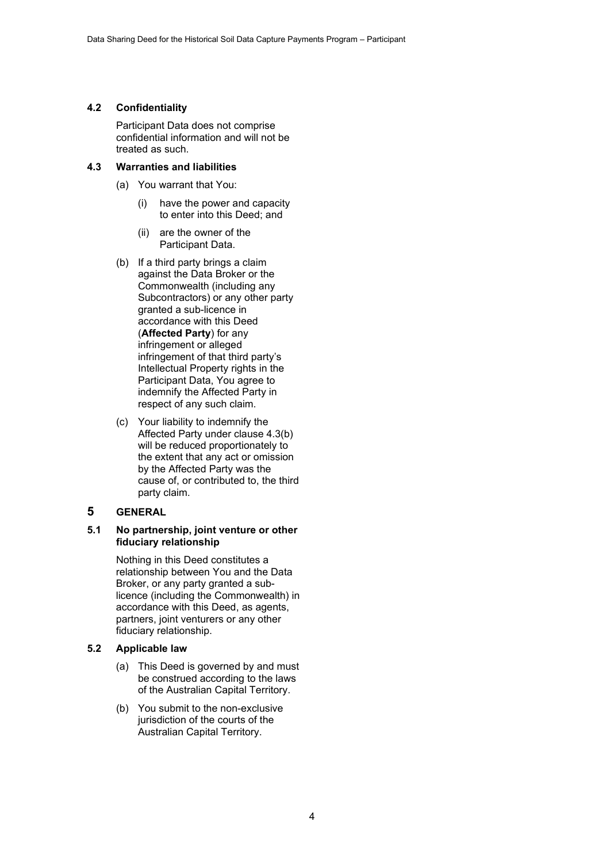#### **4.2 Confidentiality**

Participant Data does not comprise confidential information and will not be treated as such.

#### **4.3 Warranties and liabilities**

- (a) You warrant that You:
	- (i) have the power and capacity to enter into this Deed; and
	- (ii) are the owner of the Participant Data.
- (b) If a third party brings a claim against the Data Broker or the Commonwealth (including any Subcontractors) or any other party granted a sub-licence in accordance with this Deed (**Affected Party**) for any infringement or alleged infringement of that third party's Intellectual Property rights in the Participant Data, You agree to indemnify the Affected Party in respect of any such claim.
- (c) Your liability to indemnify the Affected Party under clause 4.3(b) will be reduced proportionately to the extent that any act or omission by the Affected Party was the cause of, or contributed to, the third party claim.

## **5 GENERAL**

#### **5.1 No partnership, joint venture or other fiduciary relationship**

Nothing in this Deed constitutes a relationship between You and the Data Broker, or any party granted a sublicence (including the Commonwealth) in accordance with this Deed, as agents, partners, joint venturers or any other fiduciary relationship.

## **5.2 Applicable law**

- (a) This Deed is governed by and must be construed according to the laws of the Australian Capital Territory.
- (b) You submit to the non-exclusive jurisdiction of the courts of the Australian Capital Territory.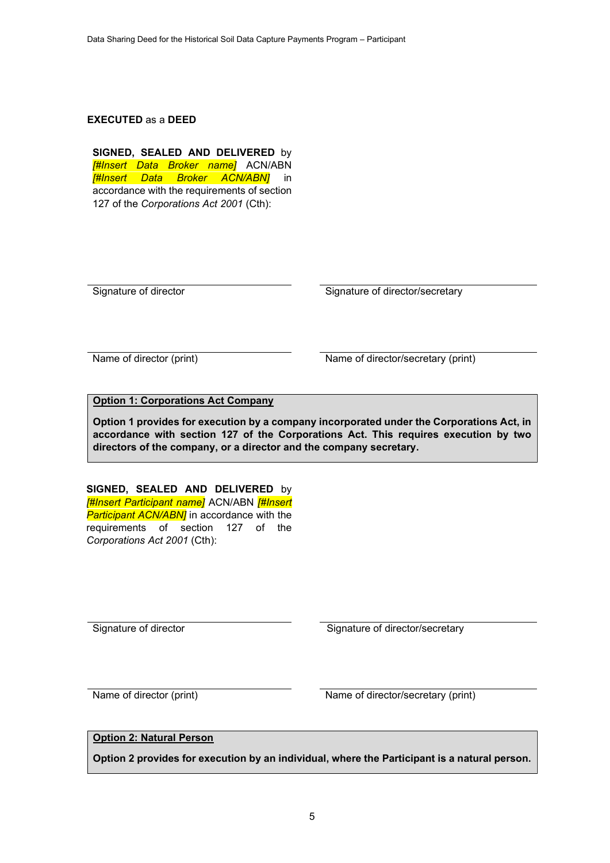#### **EXECUTED** as a **DEED**

**SIGNED, SEALED AND DELIVERED** by *[#Insert Data Broker name]* ACN/ABN *[#Insert Data Broker ACN/ABN]* in accordance with the requirements of section 127 of the *Corporations Act 2001* (Cth):

Signature of director Signature of director/secretary

Name of director (print) Name of director/secretary (print)

# **Option 1: Corporations Act Company**

**Option 1 provides for execution by a company incorporated under the Corporations Act, in accordance with section 127 of the Corporations Act. This requires execution by two directors of the company, or a director and the company secretary.**

**SIGNED, SEALED AND DELIVERED** by *[#Insert Participant name]* ACN/ABN *[#Insert Participant ACN/ABN]* in accordance with the requirements of section 127 of the *Corporations Act 2001* (Cth):

Signature of director Signature of director/secretary

Name of director (print) Name of director/secretary (print)

# **Option 2: Natural Person**

**Option 2 provides for execution by an individual, where the Participant is a natural person.**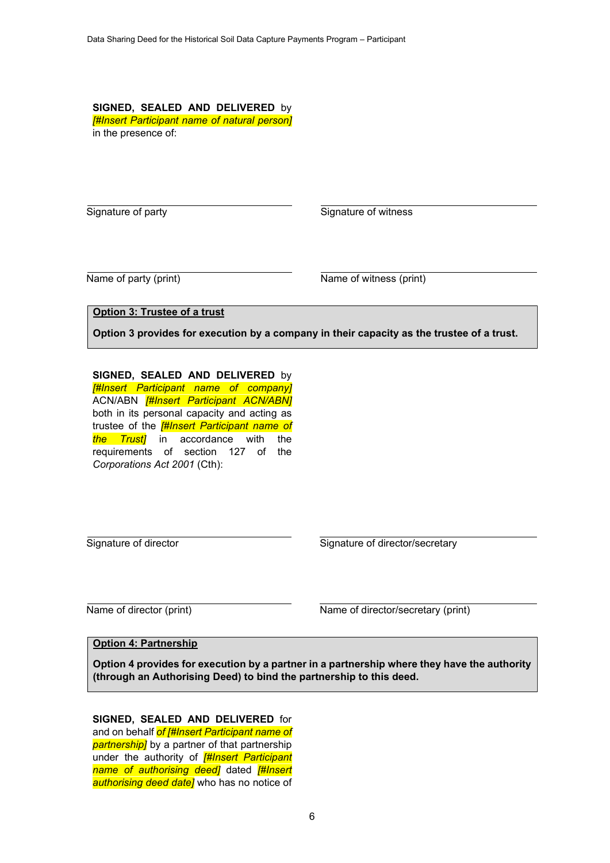**SIGNED, SEALED AND DELIVERED** by *[#Insert Participant name of natural person]* in the presence of:

Signature of party Signature of witness

Name of party (print) Name of witness (print)

**Option 3: Trustee of a trust**

**Option 3 provides for execution by a company in their capacity as the trustee of a trust.** 

**SIGNED, SEALED AND DELIVERED** by *[#Insert Participant name of company]* ACN/ABN *[#Insert Participant ACN/ABN]* both in its personal capacity and acting as trustee of the *[#Insert Participant name of the Trust]* in accordance with the requirements of section 127 of the *Corporations Act 2001* (Cth):

Signature of director Signature of director/secretary

Name of director (print) Name of director/secretary (print)

#### **Option 4: Partnership**

**Option 4 provides for execution by a partner in a partnership where they have the authority (through an Authorising Deed) to bind the partnership to this deed.**

**SIGNED, SEALED AND DELIVERED** for and on behalf *of [#Insert Participant name of partnership]* by a partner of that partnership under the authority of *[#Insert Participant name of authorising deed]* dated *[#Insert authorising deed date]* who has no notice of